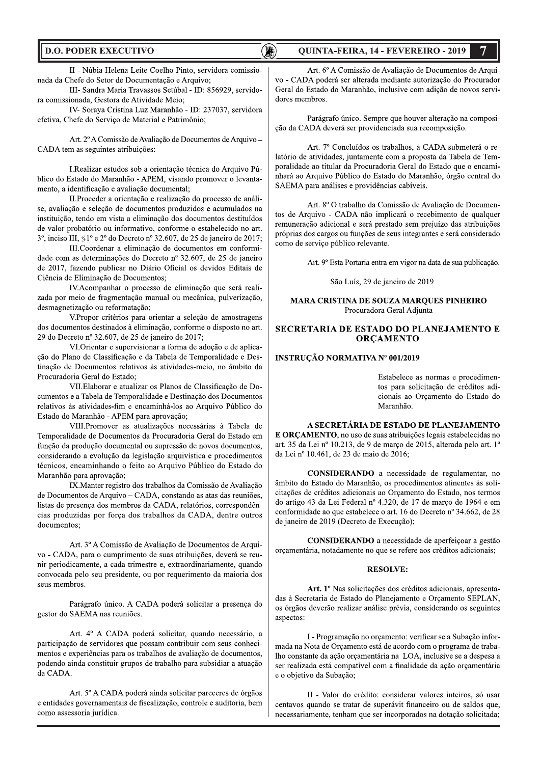#### **D.O. PODER EXECUTIVO**

### **OUINTA-FEIRA, 14 - FEVEREIRO - 2019**

íR)

II - Núbia Helena Leite Coelho Pinto, servidora comissionada da Chefe do Setor de Documentação e Arquivo;

III- Sandra Maria Travassos Setúbal - ID: 856929, servidora comissionada. Gestora de Atividade Meio:

IV- Soraya Cristina Luz Maranhão - ID: 237037, servidora efetiva, Chefe do Serviço de Material e Patrimônio;

Art. 2º A Comissão de Avaliação de Documentos de Arquivo -CADA tem as seguintes atribuições:

I.Realizar estudos sob a orientação técnica do Arquivo Público do Estado do Maranhão - APEM, visando promover o levantamento, a identificação e avaliação documental;

II. Proceder a orientação e realização do processo de análise, avaliação e seleção de documentos produzidos e acumulados na instituição, tendo em vista a eliminação dos documentos destituídos de valor probatório ou informativo, conforme o estabelecido no art. 3°, inciso III,  $\mathbb{S}1^{\circ}$  e 2° do Decreto n° 32.607, de 25 de janeiro de 2017;

III. Coordenar a eliminação de documentos em conformidade com as determinações do Decreto nº 32.607, de 25 de janeiro de 2017, fazendo publicar no Diário Oficial os devidos Editais de Ciência de Eliminação de Documentos;

IV. Acompanhar o processo de eliminação que será realizada por meio de fragmentação manual ou mecânica, pulverização, desmagnetização ou reformatação;

V.Propor critérios para orientar a seleção de amostragens dos documentos destinados à eliminação, conforme o disposto no art. 29 do Decreto nº 32.607, de 25 de janeiro de 2017;

VI. Orientar e supervisionar a forma de adoção e de aplicacão do Plano de Classificação e da Tabela de Temporalidade e Destinação de Documentos relativos às atividades-meio, no âmbito da Procuradoria Geral do Estado;

VII. Elaborar e atualizar os Planos de Classificação de Documentos e a Tabela de Temporalidade e Destinação dos Documentos relativos às atividades-fim e encaminhá-los ao Arquivo Público do Estado do Maranhão - APEM para aprovação;

VIII.Promover as atualizações necessárias à Tabela de Temporalidade de Documentos da Procuradoria Geral do Estado em função da produção documental ou supressão de novos documentos, considerando a evolução da legislação arquivística e procedimentos técnicos, encaminhando o feito ao Arquivo Público do Estado do Maranhão para aprovação;

IX. Manter registro dos trabalhos da Comissão de Avaliação de Documentos de Arquivo - CADA, constando as atas das reuniões, listas de presença dos membros da CADA, relatórios, correspondências produzidas por força dos trabalhos da CADA, dentre outros documentos;

Art. 3º A Comissão de Avaliação de Documentos de Arquivo - CADA, para o cumprimento de suas atribuições, deverá se reunir periodicamente, a cada trimestre e, extraordinariamente, quando convocada pelo seu presidente, ou por requerimento da maioria dos seus membros.

Parágrafo único. A CADA poderá solicitar a presença do gestor do SAEMA nas reuniões.

Art. 4º A CADA poderá solicitar, quando necessário, a participação de servidores que possam contribuir com seus conhecimentos e experiências para os trabalhos de avaliação de documentos, podendo ainda constituir grupos de trabalho para subsidiar a atuação da CADA.

Art. 5º A CADA poderá ainda solicitar pareceres de órgãos e entidades governamentais de fiscalização, controle e auditoria, bem como assessoria jurídica.

Art. 6º A Comissão de Avaliação de Documentos de Arquivo - CADA poderá ser alterada mediante autorização do Procurador Geral do Estado do Maranhão, inclusive com adição de novos servidores membros.

Parágrafo único. Sempre que houver alteração na composição da CADA deverá ser providenciada sua recomposição.

Art. 7º Concluídos os trabalhos, a CADA submeterá o relatório de atividades, juntamente com a proposta da Tabela de Temporalidade ao titular da Procuradoria Geral do Estado que o encaminhará ao Arquivo Público do Estado do Maranhão, órgão central do SAEMA para análises e providências cabíveis.

Art. 8º O trabalho da Comissão de Avaliação de Documentos de Arquivo - CADA não implicará o recebimento de qualquer remuneração adicional e será prestado sem prejuízo das atribuições próprias dos cargos ou funções de seus integrantes e será considerado como de serviço público relevante.

Art. 9º Esta Portaria entra em vigor na data de sua publicação.

São Luís, 29 de janeiro de 2019

#### **MARA CRISTINA DE SOUZA MARQUES PINHEIRO** Procuradora Geral Adjunta

#### SECRETARIA DE ESTADO DO PLANEJAMENTO E **ORCAMENTO**

#### **INSTRUÇÃO NORMATIVA Nº 001/2019**

Estabelece as normas e procedimentos para solicitação de créditos adicionais ao Orçamento do Estado do Maranhão.

#### A SECRETÁRIA DE ESTADO DE PLANEJAMENTO

E ORÇAMENTO, no uso de suas atribuições legais estabelecidas no art. 35 da Lei nº 10.213, de 9 de marco de 2015, alterada pelo art. 1º da Lei nº 10.461, de 23 de maio de 2016;

CONSIDERANDO a necessidade de regulamentar, no âmbito do Estado do Maranhão, os procedimentos atinentes às solicitações de créditos adicionais ao Orçamento do Estado, nos termos do artigo 43 da Lei Federal nº 4.320, de 17 de março de 1964 e em conformidade ao que estabelece o art. 16 do Decreto nº 34.662, de 28 de janeiro de 2019 (Decreto de Execução);

CONSIDERANDO a necessidade de aperfeiçoar a gestão orçamentária, notadamente no que se refere aos créditos adicionais;

#### **RESOLVE:**

Art. 1º Nas solicitações dos créditos adicionais, apresentadas à Secretaria de Estado do Planejamento e Orçamento SEPLAN, os órgãos deverão realizar análise prévia, considerando os seguintes aspectos:

I - Programação no orçamento: verificar se a Subação informada na Nota de Orçamento está de acordo com o programa de trabalho constante da ação orçamentária na LOA, inclusive se a despesa a ser realizada está compatível com a finalidade da ação orçamentária e o objetivo da Subação;

II - Valor do crédito: considerar valores inteiros, só usar centavos quando se tratar de superávit financeiro ou de saldos que, necessariamente, tenham que ser incorporados na dotação solicitada;